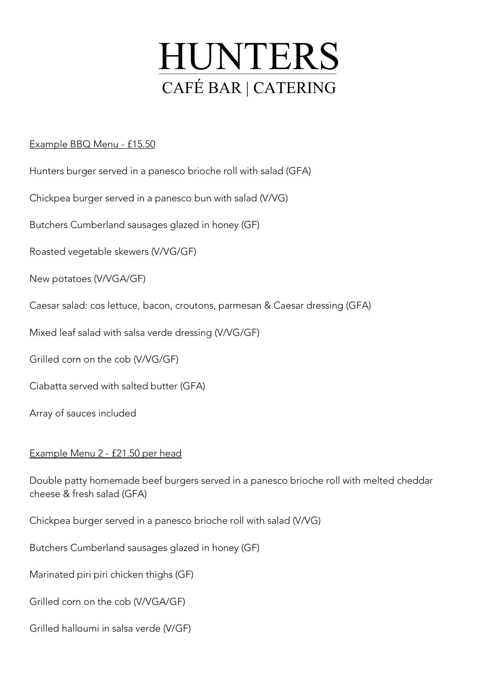

## Example BBQ Menu - £15.50

- Hunters burger served in a panesco brioche roll with salad (GFA)
- Chickpea burger served in a panesco bun with salad (V/VG)
- Butchers Cumberland sausages glazed in honey (GF)
- Roasted vegetable skewers (V/VG/GF)
- New potatoes (V/VGA/GF)
- Caesar salad: cos lettuce, bacon, croutons, parmesan & Caesar dressing (GFA)
- Mixed leaf salad with salsa verde dressing (V/VG/GF)
- Grilled corn on the cob (V/VG/GF)
- Ciabatta served with salted butter (GFA)
- Array of sauces included

## Example Menu 2 - £21.50 per head

- Double patty homemade beef burgers served in a panesco brioche roll with melted cheddar cheese & fresh salad (GFA)
- Chickpea burger served in a panesco brioche roll with salad (V/VG)
- Butchers Cumberland sausages glazed in honey (GF)
- Marinated piri piri chicken thighs (GF)
- Grilled corn on the cob (V/VGA/GF)
- Grilled halloumi in salsa verde (V/GF)